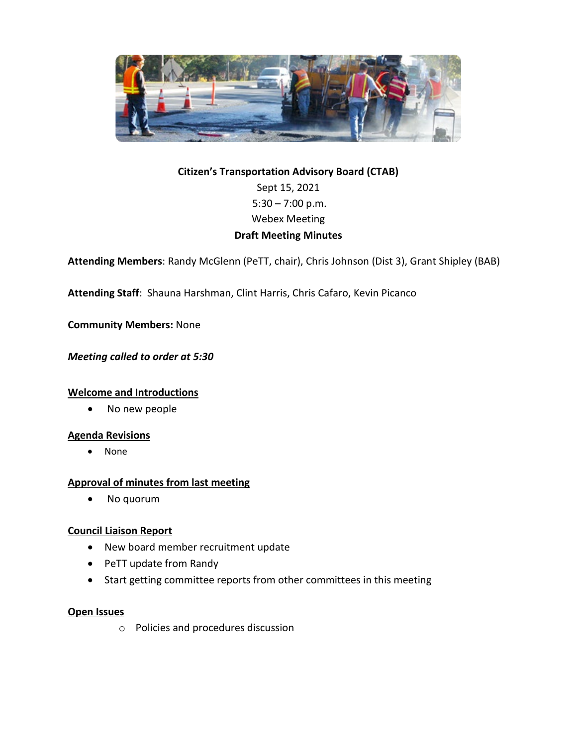

# **Citizen's Transportation Advisory Board (CTAB)** Sept 15, 2021 5:30 – 7:00 p.m. Webex Meeting **Draft Meeting Minutes**

**Attending Members**: Randy McGlenn (PeTT, chair), Chris Johnson (Dist 3), Grant Shipley (BAB)

**Attending Staff**: Shauna Harshman, Clint Harris, Chris Cafaro, Kevin Picanco

**Community Members:** None

*Meeting called to order at 5:30*

#### **Welcome and Introductions**

• No new people

#### **Agenda Revisions**

• None

# **Approval of minutes from last meeting**

• No quorum

# **Council Liaison Report**

- New board member recruitment update
- PeTT update from Randy
- Start getting committee reports from other committees in this meeting

#### **Open Issues**

o Policies and procedures discussion